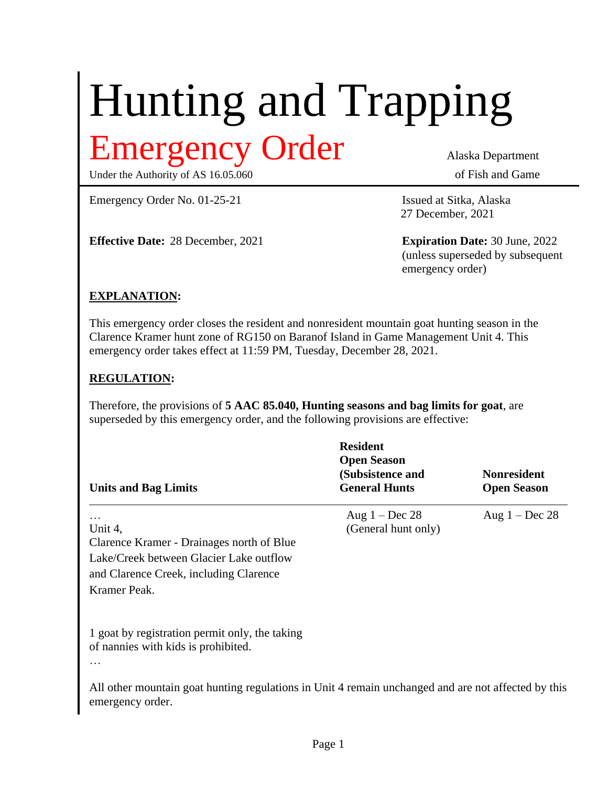# Hunting and Trapping Emergency Order Alaska Department

Under the Authority of AS 16.05.060 of Fish and Game

Emergency Order No. 01-25-21 Issued at Sitka, Alaska

**Effective Date:** 28 December, 2021 **Expiration Date:** 30 June, 2022

27 December, 2021

(unless superseded by subsequent emergency order)

### **EXPLANATION:**

This emergency order closes the resident and nonresident mountain goat hunting season in the Clarence Kramer hunt zone of RG150 on Baranof Island in Game Management Unit 4. This emergency order takes effect at 11:59 PM, Tuesday, December 28, 2021.

#### **REGULATION:**

Therefore, the provisions of **5 AAC 85.040, Hunting seasons and bag limits for goat**, are superseded by this emergency order, and the following provisions are effective:

| <b>Units and Bag Limits</b>                                                                                                                                           | <b>Resident</b><br><b>Open Season</b><br>(Subsistence and<br><b>General Hunts</b> | <b>Nonresident</b><br><b>Open Season</b> |
|-----------------------------------------------------------------------------------------------------------------------------------------------------------------------|-----------------------------------------------------------------------------------|------------------------------------------|
| $\cdots$<br>Unit 4,<br>Clarence Kramer - Drainages north of Blue<br>Lake/Creek between Glacier Lake outflow<br>and Clarence Creek, including Clarence<br>Kramer Peak. | Aug $1 - Dec 28$<br>(General hunt only)                                           | Aug $1 - Dec 28$                         |
| 1 goat by registration permit only, the taking<br>of nannies with kids is prohibited.<br>$\cdots$                                                                     |                                                                                   |                                          |

All other mountain goat hunting regulations in Unit 4 remain unchanged and are not affected by this emergency order.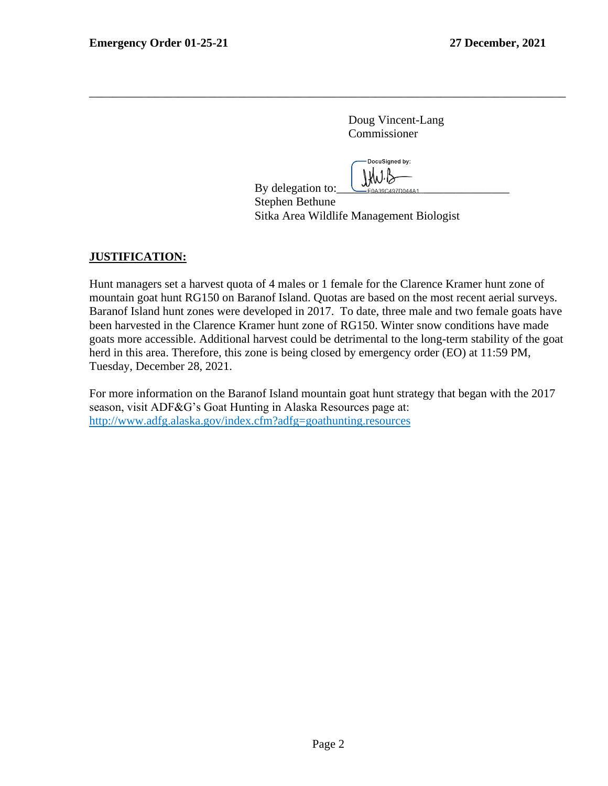Doug Vincent-Lang Commissioner

DocuSianed by: By delegation to:  $\bigcup_{\text{EOA39C497D044A1}}$ 

Stephen Bethune Sitka Area Wildlife Management Biologist

#### **JUSTIFICATION:**

Hunt managers set a harvest quota of 4 males or 1 female for the Clarence Kramer hunt zone of mountain goat hunt RG150 on Baranof Island. Quotas are based on the most recent aerial surveys. Baranof Island hunt zones were developed in 2017. To date, three male and two female goats have been harvested in the Clarence Kramer hunt zone of RG150. Winter snow conditions have made goats more accessible. Additional harvest could be detrimental to the long-term stability of the goat herd in this area. Therefore, this zone is being closed by emergency order (EO) at 11:59 PM, Tuesday, December 28, 2021.

\_\_\_\_\_\_\_\_\_\_\_\_\_\_\_\_\_\_\_\_\_\_\_\_\_\_\_\_\_\_\_\_\_\_\_\_\_\_\_\_\_\_\_\_\_\_\_\_\_\_\_\_\_\_\_\_\_\_\_\_\_\_\_\_\_\_\_\_\_\_\_\_\_\_\_\_\_\_\_\_

For more information on the Baranof Island mountain goat hunt strategy that began with the 2017 season, visit ADF&G's Goat Hunting in Alaska Resources page at: http://www.adfg.alaska.gov/index.cfm?adfg=goathunting.resources